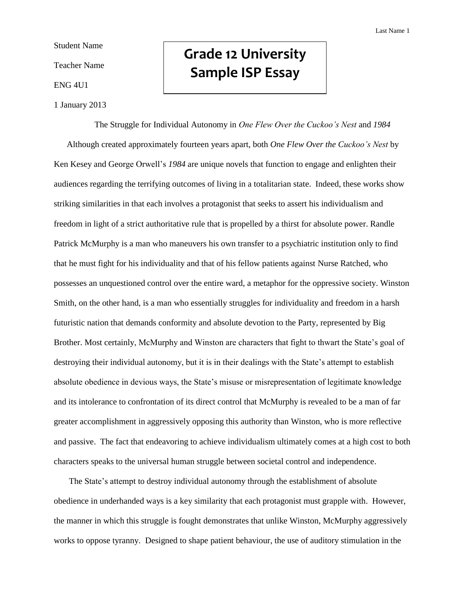Student Name

Teacher Name

ENG 4U1

1 January 2013

## **Grade 12 University Sample ISP Essay**

The Struggle for Individual Autonomy in *One Flew Over the Cuckoo's Nest* and *1984* Although created approximately fourteen years apart, both *One Flew Over the Cuckoo's Nest* by Ken Kesey and George Orwell's *1984* are unique novels that function to engage and enlighten their audiences regarding the terrifying outcomes of living in a totalitarian state. Indeed, these works show striking similarities in that each involves a protagonist that seeks to assert his individualism and freedom in light of a strict authoritative rule that is propelled by a thirst for absolute power. Randle Patrick McMurphy is a man who maneuvers his own transfer to a psychiatric institution only to find that he must fight for his individuality and that of his fellow patients against Nurse Ratched, who possesses an unquestioned control over the entire ward, a metaphor for the oppressive society. Winston Smith, on the other hand, is a man who essentially struggles for individuality and freedom in a harsh futuristic nation that demands conformity and absolute devotion to the Party, represented by Big Brother. Most certainly, McMurphy and Winston are characters that fight to thwart the State's goal of destroying their individual autonomy, but it is in their dealings with the State's attempt to establish absolute obedience in devious ways, the State's misuse or misrepresentation of legitimate knowledge and its intolerance to confrontation of its direct control that McMurphy is revealed to be a man of far greater accomplishment in aggressively opposing this authority than Winston, who is more reflective and passive. The fact that endeavoring to achieve individualism ultimately comes at a high cost to both characters speaks to the universal human struggle between societal control and independence.

 The State's attempt to destroy individual autonomy through the establishment of absolute obedience in underhanded ways is a key similarity that each protagonist must grapple with. However, the manner in which this struggle is fought demonstrates that unlike Winston, McMurphy aggressively works to oppose tyranny. Designed to shape patient behaviour, the use of auditory stimulation in the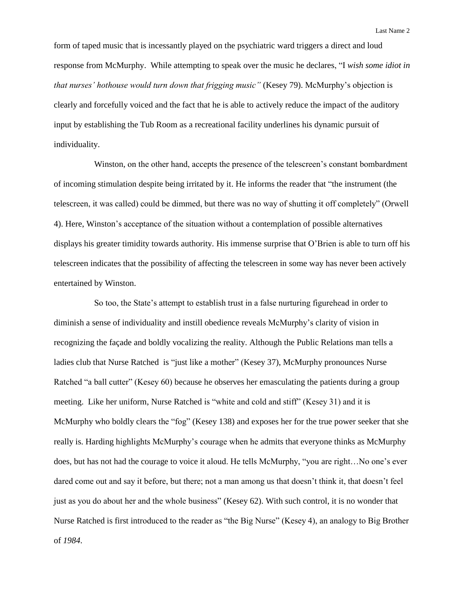form of taped music that is incessantly played on the psychiatric ward triggers a direct and loud response from McMurphy. While attempting to speak over the music he declares, "I *wish some idiot in that nurses' hothouse would turn down that frigging music"* (Kesey 79). McMurphy's objection is clearly and forcefully voiced and the fact that he is able to actively reduce the impact of the auditory input by establishing the Tub Room as a recreational facility underlines his dynamic pursuit of individuality.

Winston, on the other hand, accepts the presence of the telescreen's constant bombardment of incoming stimulation despite being irritated by it. He informs the reader that "the instrument (the telescreen, it was called) could be dimmed, but there was no way of shutting it off completely" (Orwell 4). Here, Winston's acceptance of the situation without a contemplation of possible alternatives displays his greater timidity towards authority. His immense surprise that O'Brien is able to turn off his telescreen indicates that the possibility of affecting the telescreen in some way has never been actively entertained by Winston.

So too, the State's attempt to establish trust in a false nurturing figurehead in order to diminish a sense of individuality and instill obedience reveals McMurphy's clarity of vision in recognizing the façade and boldly vocalizing the reality. Although the Public Relations man tells a ladies club that Nurse Ratched is "just like a mother" (Kesey 37), McMurphy pronounces Nurse Ratched "a ball cutter" (Kesey 60) because he observes her emasculating the patients during a group meeting. Like her uniform, Nurse Ratched is "white and cold and stiff" (Kesey 31) and it is McMurphy who boldly clears the "fog" (Kesey 138) and exposes her for the true power seeker that she really is. Harding highlights McMurphy's courage when he admits that everyone thinks as McMurphy does, but has not had the courage to voice it aloud. He tells McMurphy, "you are right…No one's ever dared come out and say it before, but there; not a man among us that doesn't think it, that doesn't feel just as you do about her and the whole business" (Kesey 62). With such control, it is no wonder that Nurse Ratched is first introduced to the reader as "the Big Nurse" (Kesey 4), an analogy to Big Brother of *1984*.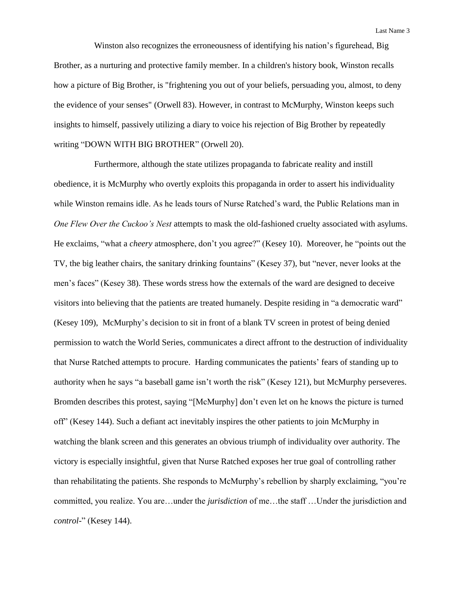Winston also recognizes the erroneousness of identifying his nation's figurehead, Big Brother, as a nurturing and protective family member. In a children's history book, Winston recalls how a picture of Big Brother, is "frightening you out of your beliefs, persuading you, almost, to deny the evidence of your senses" (Orwell 83). However, in contrast to McMurphy, Winston keeps such insights to himself, passively utilizing a diary to voice his rejection of Big Brother by repeatedly writing "DOWN WITH BIG BROTHER" (Orwell 20).

Furthermore, although the state utilizes propaganda to fabricate reality and instill obedience, it is McMurphy who overtly exploits this propaganda in order to assert his individuality while Winston remains idle. As he leads tours of Nurse Ratched's ward, the Public Relations man in *One Flew Over the Cuckoo's Nest* attempts to mask the old-fashioned cruelty associated with asylums. He exclaims, "what a *cheery* atmosphere, don't you agree?" (Kesey 10). Moreover, he "points out the TV, the big leather chairs, the sanitary drinking fountains" (Kesey 37), but "never, never looks at the men's faces" (Kesey 38). These words stress how the externals of the ward are designed to deceive visitors into believing that the patients are treated humanely. Despite residing in "a democratic ward" (Kesey 109), McMurphy's decision to sit in front of a blank TV screen in protest of being denied permission to watch the World Series, communicates a direct affront to the destruction of individuality that Nurse Ratched attempts to procure. Harding communicates the patients' fears of standing up to authority when he says "a baseball game isn't worth the risk" (Kesey 121), but McMurphy perseveres. Bromden describes this protest, saying "[McMurphy] don't even let on he knows the picture is turned off" (Kesey 144). Such a defiant act inevitably inspires the other patients to join McMurphy in watching the blank screen and this generates an obvious triumph of individuality over authority. The victory is especially insightful, given that Nurse Ratched exposes her true goal of controlling rather than rehabilitating the patients. She responds to McMurphy's rebellion by sharply exclaiming, "you're committed, you realize. You are…under the *jurisdiction* of me…the staff …Under the jurisdiction and *control*-" (Kesey 144).